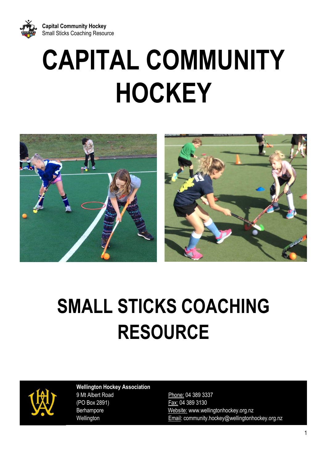

# **CAPITAL COMMUNITY HOCKEY**



## **SMALL STICKS COACHING RESOURCE**



 **Wellington Hockey Association** 9 Mt Albert Road Phone: 04 389 3337 (PO Box 2891) Fax: 04 389 3130

Berhampore **Website:** www.wellingtonhockey.org.nz Wellington **Email:** community.hockey@wellingtonhockey.org.nz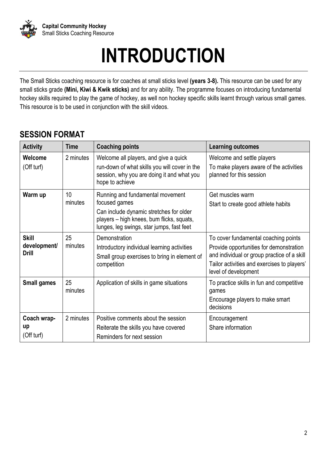

## **INTRODUCTION**

The Small Sticks coaching resource is for coaches at small sticks level **(years 3-8).** This resource can be used for any small sticks grade **(Mini, Kiwi & Kwik sticks)** and for any ability. The programme focuses on introducing fundamental hockey skills required to play the game of hockey, as well non hockey specific skills learnt through various small games. This resource is to be used in conjunction with the skill videos.

## **SESSION FORMAT**

| <b>Activity</b>                              | Time          | <b>Coaching points</b>                                                                                                                                                                 | <b>Learning outcomes</b>                                                                                                                                                                              |
|----------------------------------------------|---------------|----------------------------------------------------------------------------------------------------------------------------------------------------------------------------------------|-------------------------------------------------------------------------------------------------------------------------------------------------------------------------------------------------------|
| Welcome<br>(Off turf)                        | 2 minutes     | Welcome all players, and give a quick<br>run-down of what skills you will cover in the<br>session, why you are doing it and what you<br>hope to achieve                                | Welcome and settle players<br>To make players aware of the activities<br>planned for this session                                                                                                     |
| Warm up                                      | 10<br>minutes | Running and fundamental movement<br>focused games<br>Can include dynamic stretches for older<br>players - high knees, bum flicks, squats,<br>lunges, leg swings, star jumps, fast feet | Get muscles warm<br>Start to create good athlete habits                                                                                                                                               |
| <b>Skill</b><br>development/<br><b>Drill</b> | 25<br>minutes | Demonstration<br>Introductory individual learning activities<br>Small group exercises to bring in element of<br>competition                                                            | To cover fundamental coaching points<br>Provide opportunities for demonstration<br>and individual or group practice of a skill<br>Tailor activities and exercises to players'<br>level of development |
| <b>Small games</b>                           | 25<br>minutes | Application of skills in game situations                                                                                                                                               | To practice skills in fun and competitive<br>games<br>Encourage players to make smart<br>decisions                                                                                                    |
| Coach wrap-<br>up<br>(Off turf)              | 2 minutes     | Positive comments about the session<br>Reiterate the skills you have covered<br>Reminders for next session                                                                             | Encouragement<br>Share information                                                                                                                                                                    |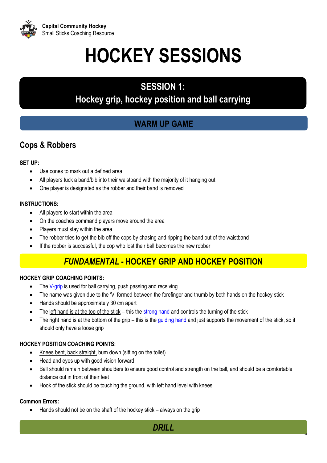

## **HOCKEY SESSIONS**

## **SESSION 1:**

## **Hockey grip, hockey position and ball carrying**

## **WARM UP GAME**

## **Cops & Robbers**

## **SET UP:**

- Use cones to mark out a defined area
- All players tuck a band/bib into their waistband with the majority of it hanging out
- One player is designated as the robber and their band is removed

### **INSTRUCTIONS:**

- All players to start within the area
- On the coaches command players move around the area
- Players must stay within the area
- The robber tries to get the bib off the cops by chasing and ripping the band out of the waistband
- If the robber is successful, the cop who lost their ball becomes the new robber

## *FUNDAMENTAL* **- HOCKEY GRIP AND HOCKEY POSITION**

## **HOCKEY GRIP COACHING POINTS:**

- The V-grip is used for ball carrying, push passing and receiving
- The name was given due to the 'V' formed between the forefinger and thumb by both hands on the hockey stick
- Hands should be approximately 30 cm apart
- The left hand is at the top of the stick this the strong hand and controls the turning of the stick
- The right hand is at the bottom of the grip this is the guiding hand and just supports the movement of the stick, so it should only have a loose grip

#### **HOCKEY POSITION COACHING POINTS:**

- Knees bent, back straight, bum down (sitting on the toilet)
- Head and eyes up with good vision forward
- Ball should remain between shoulders to ensure good control and strength on the ball, and should be a comfortable distance out in front of their feet
- Hook of the stick should be touching the ground, with left hand level with knees

## **Common Errors:**

Hands should not be on the shaft of the hockey stick – always on the grip



3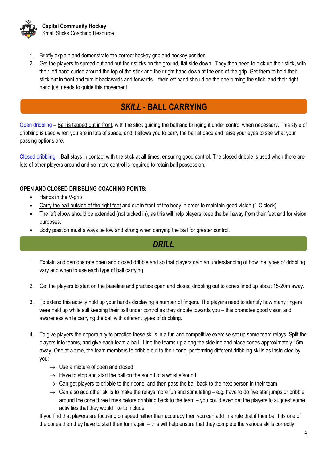

- 1. Briefly explain and demonstrate the correct hockey grip and hockey position.
- 2. Get the players to spread out and put their sticks on the ground, flat side down. They then need to pick up their stick, with their left hand curled around the top of the stick and their right hand down at the end of the grip. Get them to hold their stick out in front and turn it backwards and forwards – their left hand should be the one turning the stick, and their right hand just needs to guide this movement.

## *SKILL* **- BALL CARRYING**

Open dribbling – Ball is tapped out in front, with the stick guiding the ball and bringing it under control when necessary. This style of dribbling is used when you are in lots of space, and it allows you to carry the ball at pace and raise your eyes to see what your passing options are.

Closed dribbling – Ball stays in contact with the stick at all times, ensuring good control. The closed dribble is used when there are lots of other players around and so more control is required to retain ball possession.

#### **OPEN AND CLOSED DRIBBLING COACHING POINTS:**

- Hands in the V-grip
- Carry the ball outside of the right foot and out in front of the body in order to maintain good vision (1 O'clock)
- The left elbow should be extended (not tucked in), as this will help players keep the ball away from their feet and for vision purposes.
- Body position must always be low and strong when carrying the ball for greater control.

## *DRILL*

- 1. Explain and demonstrate open and closed dribble and so that players gain an understanding of how the types of dribbling vary and when to use each type of ball carrying.
- 2. Get the players to start on the baseline and practice open and closed dribbling out to cones lined up about 15-20m away.
- 3. To extend this activity hold up your hands displaying a number of fingers. The players need to identify how many fingers were held up while still keeping their ball under control as they dribble towards you – this promotes good vision and awareness while carrying the ball with different types of dribbling.
- 4. To give players the opportunity to practice these skills in a fun and competitive exercise set up some team relays. Split the players into teams, and give each team a ball. Line the teams up along the sideline and place cones approximately 15m away. One at a time, the team members to dribble out to their cone, performing different dribbling skills as instructed by you:
	- $\rightarrow$  Use a mixture of open and closed
	- $\rightarrow$  Have to stop and start the ball on the sound of a whistle/sound
	- $\rightarrow$  Can get players to dribble to their cone, and then pass the ball back to the next person in their team
	- $\rightarrow$  Can also add other skills to make the relays more fun and stimulating e.g. have to do five star jumps or dribble around the cone three times before dribbling back to the team – you could even get the players to suggest some activities that they would like to include

If you find that players are focusing on speed rather than accuracy then you can add in a rule that if their ball hits one of the cones then they have to start their turn again – this will help ensure that they complete the various skills correctly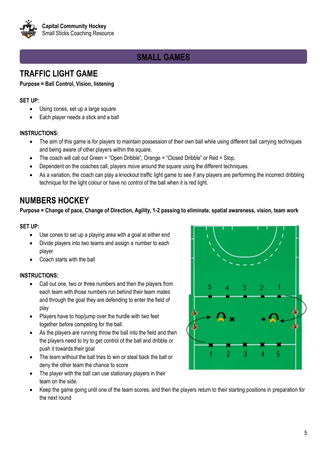

## **SMALL GAMES**

## **TRAFFIC LIGHT GAME**

#### **Purpose = Ball Control, Vision, listening**

#### **SET UP:**

- Using cones, set up a large square
- Each player needs a stick and a ball

#### **INSTRUCTIONS:**

- The aim of this game is for players to maintain possession of their own ball while using different ball carrying techniques and being aware of other players within the square.
- The coach will call out Green = "Open Dribble", Orange = "Closed Dribble" or Red = Stop.
- Dependent on the coaches call, players move around the square using the different techniques.
- As a variation, the coach can play a knockout traffic light game to see if any players are performing the incorrect dribbling technique for the light colour or have no control of the ball when it is red light.

## **NUMBERS HOCKEY**

**Purpose = Change of pace, Change of Direction, Agility, 1-2 passing to eliminate, spatial awareness, vision, team work**

#### **SET UP:**

- Use cones to set up a playing area with a goal at either end
- Divide players into two teams and assign a number to each player
- Coach starts with the ball

- Call out one, two or three numbers and then the players from each team with those numbers run behind their team mates and through the goal they are defending to enter the field of play
- Players have to hop/jump over the hurdle with two feet together before competing for the ball.
- As the players are running throw the ball into the field and then the players need to try to get control of the ball and dribble or push it towards their goal
- The team without the ball tries to win or steal back the ball or deny the other team the chance to score
- The player with the ball can use stationary players in their team on the side.
- Keep the game going until one of the team scores, and then the players return to their starting positions in preparation for the next round

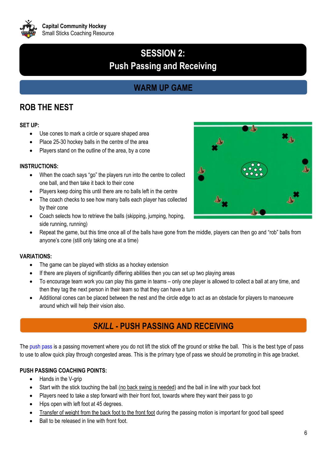

## **SESSION 2: Push Passing and Receiving**

## **WARM UP GAME**

## **ROB THE NEST**

#### **SET UP:**

- Use cones to mark a circle or square shaped area
- Place 25-30 hockey balls in the centre of the area
- Players stand on the outline of the area, by a cone

#### **INSTRUCTIONS:**

- When the coach says "go" the players run into the centre to collect one ball, and then take it back to their cone
- Players keep doing this until there are no balls left in the centre
- The coach checks to see how many balls each player has collected by their cone
- Coach selects how to retrieve the balls (skipping, jumping, hoping, side running, running)
- Repeat the game, but this time once all of the balls have gone from the middle, players can then go and "rob" balls from anyone's cone (still only taking one at a time)

#### **VARIATIONS:**

- The game can be played with sticks as a hockey extension
- If there are players of significantly differing abilities then you can set up two playing areas
- To encourage team work you can play this game in teams only one player is allowed to collect a ball at any time, and then they tag the next person in their team so that they can have a turn
- Additional cones can be placed between the nest and the circle edge to act as an obstacle for players to manoeuvre around which will help their vision also.

## *SKILL* **- PUSH PASSING AND RECEIVING**

The push pass is a passing movement where you do not lift the stick off the ground or strike the ball. This is the best type of pass to use to allow quick play through congested areas. This is the primary type of pass we should be promoting in this age bracket.

#### **PUSH PASSING COACHING POINTS:**

- Hands in the V-grip
- Start with the stick touching the ball (no back swing is needed) and the ball in line with your back foot
- Players need to take a step forward with their front foot, towards where they want their pass to go
- Hips open with left foot at 45 degrees.
- Transfer of weight from the back foot to the front foot during the passing motion is important for good ball speed
- Ball to be released in line with front foot.

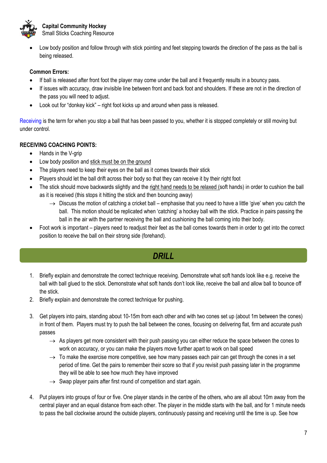

• Low body position and follow through with stick pointing and feet stepping towards the direction of the pass as the ball is being released.

#### **Common Errors:**

- If ball is released after front foot the player may come under the ball and it frequently results in a bouncy pass.
- If issues with accuracy, draw invisible line between front and back foot and shoulders. If these are not in the direction of the pass you will need to adjust.
- Look out for "donkey kick" right foot kicks up and around when pass is released.

Receiving is the term for when you stop a ball that has been passed to you, whether it is stopped completely or still moving but under control.

## **RECEIVING COACHING POINTS:**

- Hands in the V-grip
- Low body position and stick must be on the ground
- The players need to keep their eyes on the ball as it comes towards their stick
- Players should let the ball drift across their body so that they can receive it by their right foot
- The stick should move backwards slightly and the right hand needs to be relaxed (soft hands) in order to cushion the ball as it is received (this stops it hitting the stick and then bouncing away)
	- $\rightarrow$  Discuss the motion of catching a cricket ball emphasise that you need to have a little 'give' when you catch the ball. This motion should be replicated when 'catching' a hockey ball with the stick. Practice in pairs passing the ball in the air with the partner receiving the ball and cushioning the ball coming into their body.
- Foot work is important players need to readjust their feet as the ball comes towards them in order to get into the correct position to receive the ball on their strong side (forehand).

## *DRILL*

- 1. Briefly explain and demonstrate the correct technique receiving. Demonstrate what soft hands look like e.g. receive the ball with ball glued to the stick. Demonstrate what soft hands don't look like, receive the ball and allow ball to bounce off the stick.
- 2. Briefly explain and demonstrate the correct technique for pushing.
- 3. Get players into pairs, standing about 10-15m from each other and with two cones set up (about 1m between the cones) in front of them. Players must try to push the ball between the cones, focusing on delivering flat, firm and accurate push passes
	- $\rightarrow$  As players get more consistent with their push passing you can either reduce the space between the cones to work on accuracy, or you can make the players move further apart to work on ball speed
	- $\rightarrow$  To make the exercise more competitive, see how many passes each pair can get through the cones in a set period of time. Get the pairs to remember their score so that if you revisit push passing later in the programme they will be able to see how much they have improved
	- $\rightarrow$  Swap player pairs after first round of competition and start again.
- 4. Put players into groups of four or five. One player stands in the centre of the others, who are all about 10m away from the central player and an equal distance from each other. The player in the middle starts with the ball, and for 1 minute needs to pass the ball clockwise around the outside players, continuously passing and receiving until the time is up. See how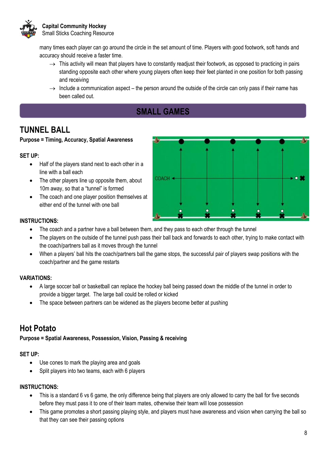

many times each player can go around the circle in the set amount of time. Players with good footwork, soft hands and accuracy should receive a faster time.

- $\rightarrow$  This activity will mean that players have to constantly readjust their footwork, as opposed to practicing in pairs standing opposite each other where young players often keep their feet planted in one position for both passing and receiving
- $\rightarrow$  Include a communication aspect the person around the outside of the circle can only pass if their name has been called out.
	- **SMALL GAMES**

## **TUNNEL BALL**

#### **Purpose = Timing, Accuracy, Spatial Awareness**

#### **SET UP:**

- Half of the players stand next to each other in a line with a ball each
- The other players line up opposite them, about 10m away, so that a "tunnel" is formed
- The coach and one player position themselves at either end of the tunnel with one ball



#### **INSTRUCTIONS:**

- The coach and a partner have a ball between them, and they pass to each other through the tunnel
- The players on the outside of the tunnel push pass their ball back and forwards to each other, trying to make contact with the coach/partners ball as it moves through the tunnel
- When a players' ball hits the coach/partners ball the game stops, the successful pair of players swap positions with the coach/partner and the game restarts

#### **VARIATIONS:**

- A large soccer ball or basketball can replace the hockey ball being passed down the middle of the tunnel in order to provide a bigger target. The large ball could be rolled or kicked
- The space between partners can be widened as the players become better at pushing

## **Hot Potato**

#### **Purpose = Spatial Awareness, Possession, Vision, Passing & receiving**

#### **SET UP:**

- Use cones to mark the playing area and goals
- Split players into two teams, each with 6 players

- This is a standard 6 vs 6 game, the only difference being that players are only allowed to carry the ball for five seconds before they must pass it to one of their team mates, otherwise their team will lose possession
- This game promotes a short passing playing style, and players must have awareness and vision when carrying the ball so that they can see their passing options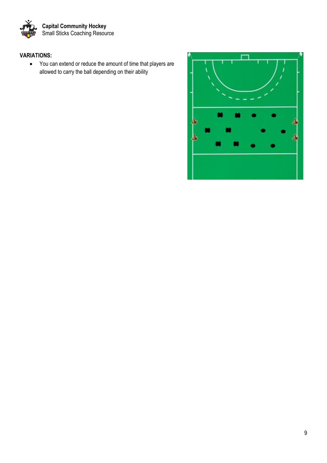

## **VARIATIONS:**

• You can extend or reduce the amount of time that players are allowed to carry the ball depending on their ability

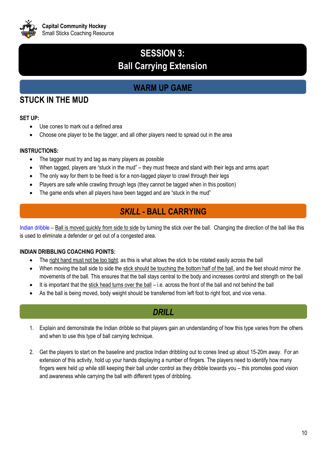

## **SESSION 3: Ball Carrying Extension**

## **WARM UP GAME**

## **STUCK IN THE MUD**

#### **SET UP:**

- Use cones to mark out a defined area
- Choose one player to be the tagger, and all other players need to spread out in the area

#### **INSTRUCTIONS:**

- The tagger must try and tag as many players as possible
- When tagged, players are "stuck in the mud" they must freeze and stand with their legs and arms apart
- The only way for them to be freed is for a non-tagged player to crawl through their legs
- Players are safe while crawling through legs (they cannot be tagged when in this position)
- The game ends when all players have been tagged and are "stuck in the mud"

## *SKILL* **- BALL CARRYING**

Indian dribble – Ball is moved quickly from side to side by turning the stick over the ball. Changing the direction of the ball like this is used to eliminate a defender or get out of a congested area.

#### **INDIAN DRIBBLING COACHING POINTS:**

- The right hand must not be too tight, as this is what allows the stick to be rotated easily across the ball
- When moving the ball side to side the stick should be touching the bottom half of the ball, and the feet should mirror the movements of the ball. This ensures that the ball stays central to the body and increases control and strength on the ball
- It is important that the stick head turns over the ball i.e. across the front of the ball and not behind the ball
- As the ball is being moved, body weight should be transferred from left foot to right foot, and vice versa.

## *DRILL*

- 1. Explain and demonstrate the Indian dribble so that players gain an understanding of how this type varies from the others and when to use this type of ball carrying technique.
- 2. Get the players to start on the baseline and practice Indian dribbling out to cones lined up about 15-20m away. For an extension of this activity, hold up your hands displaying a number of fingers. The players need to identify how many fingers were held up while still keeping their ball under control as they dribble towards you – this promotes good vision and awareness while carrying the ball with different types of dribbling.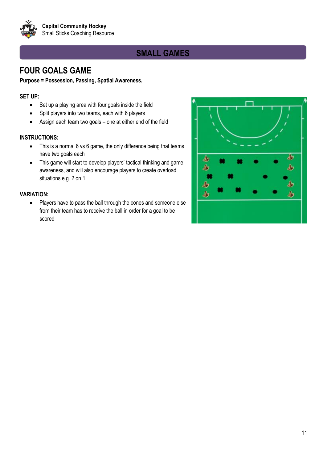

## **SMALL GAMES**

## **FOUR GOALS GAME**

#### **Purpose = Possession, Passing, Spatial Awareness,**

#### **SET UP:**

- Set up a playing area with four goals inside the field
- Split players into two teams, each with 6 players
- Assign each team two goals one at either end of the field

#### **INSTRUCTIONS:**

- This is a normal 6 vs 6 game, the only difference being that teams have two goals each
- This game will start to develop players' tactical thinking and game awareness, and will also encourage players to create overload situations e.g. 2 on 1

#### **VARIATION:**

• Players have to pass the ball through the cones and someone else from their team has to receive the ball in order for a goal to be scored

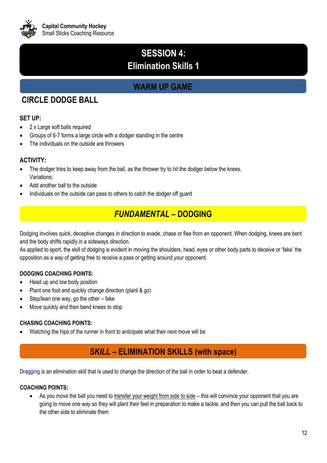

## **SESSION 4: Elimination Skills 1**

## **WARM UP GAME**

## **CIRCLE DODGE BALL**

## **SET UP:**

- 2 x Large soft balls required
- Groups of 6-7 forms a large circle with a dodger standing in the centre
- The individuals on the outside are throwers

## **ACTIVITY:**

- The dodger tries to keep away from the ball, as the thrower try to hit the dodger below the knees. Variations:
- Add another ball to the outside
- Individuals on the outside can pass to others to catch the dodger off guard

## *FUNDAMENTAL* **– DODGING**

Dodging involves quick, deceptive changes in direction to evade, chase or flee from an opponent. When dodging, knees are bent and the body shifts rapidly in a sideways direction.

As applied to sport, the skill of dodging is evident in moving the shoulders, head, eyes or other body parts to deceive or 'fake' the opposition as a way of getting free to receive a pass or getting around your opponent.

## **DODGING COACHING POINTS:**

- Head up and low body position
- Plant one foot and quickly change direction (plant & go)
- Step/lean one way, go the other fake
- Move quickly and then bend knees to stop

## **CHASING COACHING POINTS:**

• Watching the hips of the runner in front to anticipate what their next move will be

## *SKILL* **– ELIMINATION SKILLS (with space)**

Dragging is an elimination skill that is used to change the direction of the ball in order to beat a defender.

#### **COACHING POINTS:**

• As you move the ball you need to transfer your weight from side to side – this will convince your opponent that you are going to move one way so they will plant their feet in preparation to make a tackle, and then you can pull the ball back to the other side to eliminate them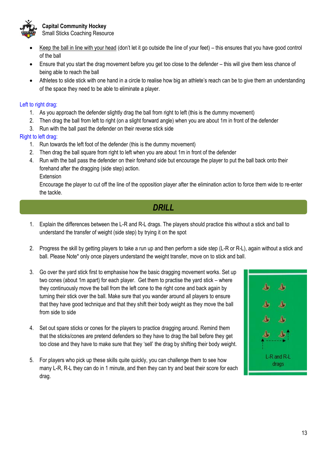

**Capital Community Hockey** Small Sticks Coaching Resource

- Keep the ball in line with your head (don't let it go outside the line of your feet) this ensures that you have good control of the ball
- Ensure that you start the drag movement before you get too close to the defender this will give them less chance of being able to reach the ball
- Athletes to slide stick with one hand in a circle to realise how big an athlete's reach can be to give them an understanding of the space they need to be able to eliminate a player.

#### Left to right drag:

- 1. As you approach the defender slightly drag the ball from right to left (this is the dummy movement)
- 2. Then drag the ball from left to right (on a slight forward angle) when you are about 1m in front of the defender
- 3. Run with the ball past the defender on their reverse stick side

#### Right to left drag:

- 1. Run towards the left foot of the defender (this is the dummy movement)
- 2. Then drag the ball square from right to left when you are about 1m in front of the defender
- 4. Run with the ball pass the defender on their forehand side but encourage the player to put the ball back onto their forehand after the dragging (side step) action.

Extension

Encourage the player to cut off the line of the opposition player after the elimination action to force them wide to re-enter the tackle.

## *DRILL*

- 1. Explain the differences between the L-R and R-L drags. The players should practice this without a stick and ball to understand the transfer of weight (side step) by trying it on the spot
- 2. Progress the skill by getting players to take a run up and then perform a side step (L-R or R-L), again without a stick and ball. Please Note\* only once players understand the weight transfer, move on to stick and ball.
- 3. Go over the yard stick first to emphasise how the basic dragging movement works. Set up two cones (about 1m apart) for each player. Get them to practise the yard stick – where they continuously move the ball from the left cone to the right cone and back again by turning their stick over the ball. Make sure that you wander around all players to ensure that they have good technique and that they shift their body weight as they move the ball from side to side
- 4. Set out spare sticks or cones for the players to practice dragging around. Remind them that the sticks/cones are pretend defenders so they have to drag the ball before they get too close and they have to make sure that they 'sell' the drag by shifting their body weight.
- 5. For players who pick up these skills quite quickly, you can challenge them to see how many L-R, R-L they can do in 1 minute, and then they can try and beat their score for each drag.

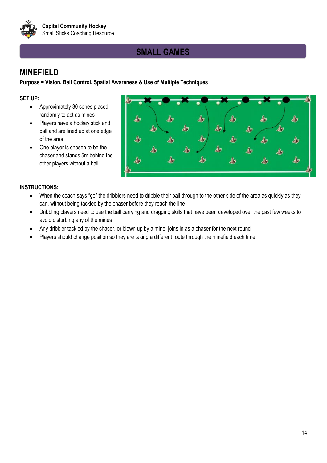

## **SMALL GAMES**

## **MINEFIELD**

**Purpose = Vision, Ball Control, Spatial Awareness & Use of Multiple Techniques** 

### **SET UP:**

- Approximately 30 cones placed randomly to act as mines
- Players have a hockey stick and ball and are lined up at one edge of the area
- One player is chosen to be the chaser and stands 5m behind the other players without a ball



- When the coach says "go" the dribblers need to dribble their ball through to the other side of the area as quickly as they can, without being tackled by the chaser before they reach the line
- Dribbling players need to use the ball carrying and dragging skills that have been developed over the past few weeks to avoid disturbing any of the mines
- Any dribbler tackled by the chaser, or blown up by a mine, joins in as a chaser for the next round
- Players should change position so they are taking a different route through the minefield each time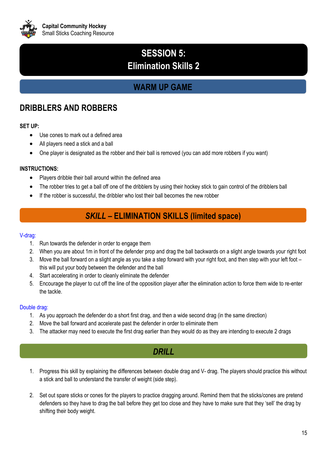

## **SESSION 5: Elimination Skills 2**

## **WARM UP GAME**

## **DRIBBLERS AND ROBBERS**

#### **SET UP:**

- Use cones to mark out a defined area
- All players need a stick and a ball
- One player is designated as the robber and their ball is removed (you can add more robbers if you want)

#### **INSTRUCTIONS:**

- Players dribble their ball around within the defined area
- The robber tries to get a ball off one of the dribblers by using their hockey stick to gain control of the dribblers ball
- If the robber is successful, the dribbler who lost their ball becomes the new robber

## *SKILL* **– ELIMINATION SKILLS (limited space)**

#### V-drag:

- 1. Run towards the defender in order to engage them
- 2. When you are about 1m in front of the defender prop and drag the ball backwards on a slight angle towards your right foot
- 3. Move the ball forward on a slight angle as you take a step forward with your right foot, and then step with your left foot this will put your body between the defender and the ball
- 4. Start accelerating in order to cleanly eliminate the defender
- 5. Encourage the player to cut off the line of the opposition player after the elimination action to force them wide to re-enter the tackle.

#### Double drag:

- 1. As you approach the defender do a short first drag, and then a wide second drag (in the same direction)
- 2. Move the ball forward and accelerate past the defender in order to eliminate them
- 3. The attacker may need to execute the first drag earlier than they would do as they are intending to execute 2 drags

## *DRILL*

- 1. Progress this skill by explaining the differences between double drag and V- drag. The players should practice this without a stick and ball to understand the transfer of weight (side step).
- 2. Set out spare sticks or cones for the players to practice dragging around. Remind them that the sticks/cones are pretend defenders so they have to drag the ball before they get too close and they have to make sure that they 'sell' the drag by shifting their body weight.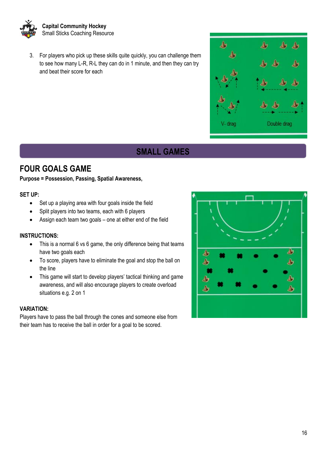

3. For players who pick up these skills quite quickly, you can challenge them to see how many L-R, R-L they can do in 1 minute, and then they can try and beat their score for each

## **SMALL GAMES**

## **FOUR GOALS GAME**

#### **Purpose = Possession, Passing, Spatial Awareness,**

#### **SET UP:**

- Set up a playing area with four goals inside the field
- Split players into two teams, each with 6 players
- Assign each team two goals one at either end of the field

#### **INSTRUCTIONS:**

- This is a normal 6 vs 6 game, the only difference being that teams have two goals each
- To score, players have to eliminate the goal and stop the ball on the line
- This game will start to develop players' tactical thinking and game awareness, and will also encourage players to create overload situations e.g. 2 on 1

#### **VARIATION:**

Players have to pass the ball through the cones and someone else from their team has to receive the ball in order for a goal to be scored.



 $\blacktriangle$ 

V-drag

А

♨

Double drag

♨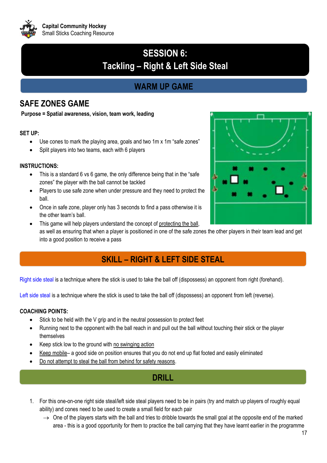

## **SESSION 6: Tackling – Right & Left Side Steal**

## **WARM UP GAME**

## **SAFE ZONES GAME**

**Purpose = Spatial awareness, vision, team work, leading**

#### **SET UP:**

- Use cones to mark the playing area, goals and two 1m x 1m "safe zones"
- Split players into two teams, each with 6 players

#### **INSTRUCTIONS:**

- This is a standard 6 vs 6 game, the only difference being that in the "safe zones" the player with the ball cannot be tackled
- Players to use safe zone when under pressure and they need to protect the ball.
- Once in safe zone, player only has 3 seconds to find a pass otherwise it is the other team's ball.
- This game will help players understand the concept of protecting the ball. as well as ensuring that when a player is positioned in one of the safe zones the other players in their team lead and get into a good position to receive a pass

## **SKILL – RIGHT & LEFT SIDE STEAL**

Right side steal is a technique where the stick is used to take the ball off (dispossess) an opponent from right (forehand).

Left side steal is a technique where the stick is used to take the ball off (dispossess) an opponent from left (reverse).

## **COACHING POINTS:**

- Stick to be held with the V grip and in the neutral possession to protect feet
- Running next to the opponent with the ball reach in and pull out the ball without touching their stick or the player themselves
- Keep stick low to the ground with no swinging action
- Keep mobile– a good side on position ensures that you do not end up flat footed and easily eliminated
- Do not attempt to steal the ball from behind for safety reasons.

## **DRILL**

- 1. For this one-on-one right side steal/left side steal players need to be in pairs (try and match up players of roughly equal ability) and cones need to be used to create a small field for each pair
	- $\rightarrow$  One of the players starts with the ball and tries to dribble towards the small goal at the opposite end of the marked area - this is a good opportunity for them to practice the ball carrying that they have learnt earlier in the programme

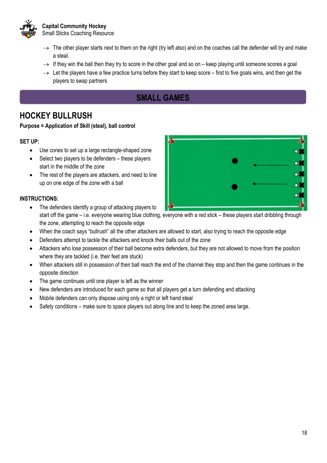

**Capital Community Hockey** Small Sticks Coaching Resource

- $\rightarrow$  The other player starts next to them on the right (try left also) and on the coaches call the defender will try and make a steal.
- $\rightarrow$  If they win the ball then they try to score in the other goal and so on keep playing until someone scores a goal
- $\rightarrow$  Let the players have a few practice turns before they start to keep score first to five goals wins, and then get the players to swap partners

## **SMALL GAMES**

## **HOCKEY BULLRUSH**

#### **Purpose = Application of Skill (steal), ball control**

#### **SET UP:**

- Use cones to set up a large rectangle-shaped zone
- Select two players to be defenders these players start in the middle of the zone
- The rest of the players are attackers, and need to line up on one edge of the zone with a ball

- The defenders identify a group of attacking players to start off the game – i.e. everyone wearing blue clothing, everyone with a red stick – these players start dribbling through the zone, attempting to reach the opposite edge
- When the coach says "bullrush" all the other attackers are allowed to start, also trying to reach the opposite edge
- Defenders attempt to tackle the attackers and knock their balls out of the zone
- Attackers who lose possession of their ball become extra defenders, but they are not allowed to move from the position where they are tackled (i.e. their feet are stuck)
- When attackers still in possession of their ball reach the end of the channel they stop and then the game continues in the opposite direction
- The game continues until one player is left as the winner
- New defenders are introduced for each game so that all players get a turn defending and attacking
- Mobile defenders can only dispose using only a right or left hand steal
- Safety conditions make sure to space players out along line and to keep the zoned area large.

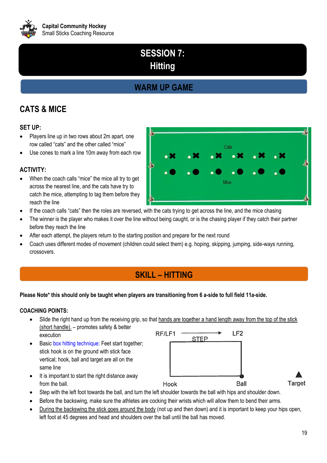

## **SESSION 7: Hitting**

## **WARM UP GAME**

## **CATS & MICE**

### **SET UP:**

- Players line up in two rows about 2m apart, one row called "cats" and the other called "mice"
- Use cones to mark a line 10m away from each row

#### **ACTIVITY:**

- When the coach calls "mice" the mice all try to get across the nearest line, and the cats have try to catch the mice, attempting to tag them before they reach the line
- If the coach calls "cats" then the roles are reversed, with the cats trying to get across the line, and the mice chasing
- The winner is the player who makes it over the line without being caught, or is the chasing player if they catch their partner before they reach the line
- After each attempt, the players return to the starting position and prepare for the next round
- Coach uses different modes of movement (children could select them) e.g. hoping, skipping, jumping, side-ways running, crossovers.

## **SKILL – HITTING**

#### **Please Note\* this should only be taught when players are transitioning from 6 a-side to full field 11a-side.**

#### **COACHING POINTS:**

from the ball.

- Slide the right hand up from the receiving grip, so that hands are together a hand length away from the top of the stick (short handle). – promotes safety & better RF/LF1 LF<sub>2</sub> execution
- Basic box hitting technique: Feet start together; stick hook is on the ground with stick face vertical; hook, ball and target are all on the same line

It is important to start the right distance away

Ball Hook

**STEP** 



- Step with the left foot towards the ball, and turn the left shoulder towards the ball with hips and shoulder down.
- Before the backswing, make sure the athletes are cocking their wrists which will allow them to bend their arms.
- During the backswing the stick goes around the body (not up and then down) and it is important to keep your hips open, left foot at 45 degrees and head and shoulders over the ball until the ball has moved.

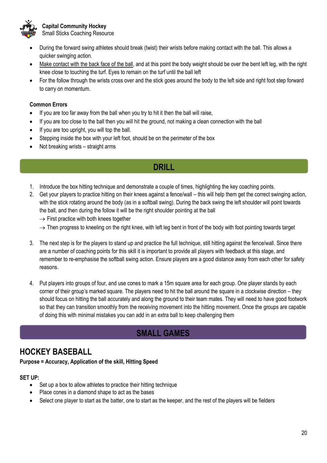

**Capital Community Hockey** Small Sticks Coaching Resource

- During the forward swing athletes should break (twist) their wrists before making contact with the ball. This allows a quicker swinging action.
- Make contact with the back face of the ball, and at this point the body weight should be over the bent left leg, with the right knee close to touching the turf. Eyes to remain on the turf until the ball left
- For the follow through the wrists cross over and the stick goes around the body to the left side and right foot step forward to carry on momentum.

#### **Common Errors**

- If you are too far away from the ball when you try to hit it then the ball will raise,
- If you are too close to the ball then you will hit the ground, not making a clean connection with the ball
- If you are too upright, you will top the ball.
- Stepping inside the box with your left foot, should be on the perimeter of the box
- Not breaking wrists straight arms

## **DRILL**

- 1. Introduce the box hitting technique and demonstrate a couple of times, highlighting the key coaching points.
- 2. Get your players to practice hitting on their knees against a fence/wall this will help them get the correct swinging action, with the stick rotating around the body (as in a softball swing). During the back swing the left shoulder will point towards the ball, and then during the follow it will be the right shoulder pointing at the ball
	- $\rightarrow$  First practice with both knees together
	- $\rightarrow$  Then progress to kneeling on the right knee, with left leg bent in front of the body with foot pointing towards target
- 3. The next step is for the players to stand up and practice the full technique, still hitting against the fence/wall. Since there are a number of coaching points for this skill it is important to provide all players with feedback at this stage, and remember to re-emphasise the softball swing action. Ensure players are a good distance away from each other for safety reasons.
- 4. Put players into groups of four, and use cones to mark a 15m square area for each group. One player stands by each corner of their group's marked square. The players need to hit the ball around the square in a clockwise direction – they should focus on hitting the ball accurately and along the ground to their team mates. They will need to have good footwork so that they can transition smoothly from the receiving movement into the hitting movement. Once the groups are capable of doing this with minimal mistakes you can add in an extra ball to keep challenging them

## **SMALL GAMES**

## **HOCKEY BASEBALL**

**Purpose = Accuracy, Application of the skill, Hitting Speed**

#### **SET UP:**

- Set up a box to allow athletes to practice their hitting technique
- Place cones in a diamond shape to act as the bases
- Select one player to start as the batter, one to start as the keeper, and the rest of the players will be fielders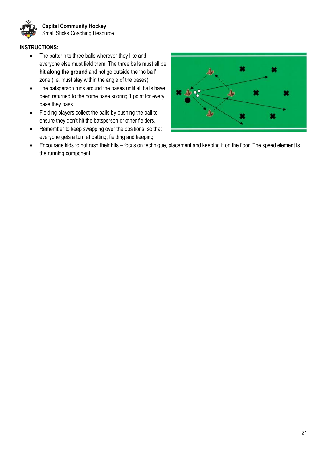

#### **INSTRUCTIONS:**

- The batter hits three balls wherever they like and everyone else must field them. The three balls must all be **hit along the ground** and not go outside the 'no ball' zone (i.e. must stay within the angle of the bases)
- The batsperson runs around the bases until all balls have been returned to the home base scoring 1 point for every base they pass
- Fielding players collect the balls by pushing the ball to ensure they don't hit the batsperson or other fielders.
- Remember to keep swapping over the positions, so that everyone gets a turn at batting, fielding and keeping



• Encourage kids to not rush their hits – focus on technique, placement and keeping it on the floor. The speed element is the running component.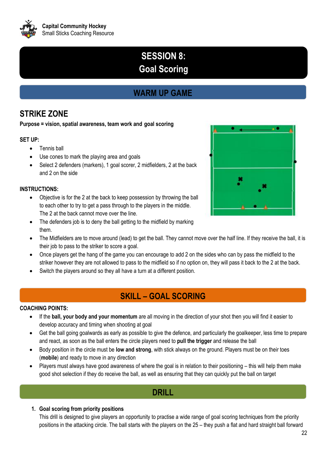

## **SESSION 8: Goal Scoring**

## **WARM UP GAME**

## **STRIKE ZONE**

#### **Purpose = vision, spatial awareness, team work and goal scoring**

### **SET UP:**

- Tennis ball
- Use cones to mark the playing area and goals
- Select 2 defenders (markers), 1 goal scorer, 2 midfielders, 2 at the back and 2 on the side

### **INSTRUCTIONS:**

- Objective is for the 2 at the back to keep possession by throwing the ball to each other to try to get a pass through to the players in the middle. The 2 at the back cannot move over the line.
- The defenders job is to deny the ball getting to the midfield by marking them.



- The Midfielders are to move around (lead) to get the ball. They cannot move over the half line. If they receive the ball, it is their job to pass to the striker to score a goal.
- Once players get the hang of the game you can encourage to add 2 on the sides who can by pass the midfield to the striker however they are not allowed to pass to the midfield so if no option on, they will pass it back to the 2 at the back.
- Switch the players around so they all have a turn at a different position.

## **SKILL – GOAL SCORING**

#### **COACHING POINTS:**

- If the **ball, your body and your momentum** are all moving in the direction of your shot then you will find it easier to develop accuracy and timing when shooting at goal
- Get the ball going goalwards as early as possible to give the defence, and particularly the goalkeeper, less time to prepare and react, as soon as the ball enters the circle players need to **pull the trigger** and release the ball
- Body position in the circle must be **low and strong**, with stick always on the ground. Players must be on their toes (**mobile**) and ready to move in any direction
- Players must always have good awareness of where the goal is in relation to their positioning this will help them make good shot selection if they do receive the ball, as well as ensuring that they can quickly put the ball on target

## **DRILL**

## **1. Goal scoring from priority positions**

This drill is designed to give players an opportunity to practise a wide range of goal scoring techniques from the priority positions in the attacking circle. The ball starts with the players on the 25 – they push a flat and hard straight ball forward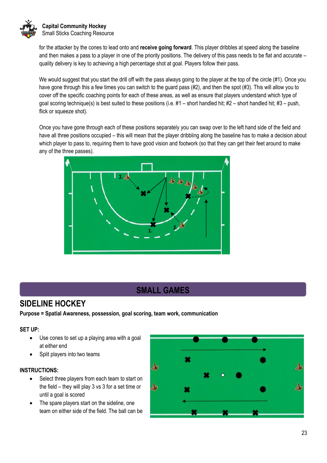

for the attacker by the cones to lead onto and **receive going forward**. This player dribbles at speed along the baseline and then makes a pass to a player in one of the priority positions. The delivery of this pass needs to be flat and accurate – quality delivery is key to achieving a high percentage shot at goal. Players follow their pass.

We would suggest that you start the drill off with the pass always going to the player at the top of the circle (#1). Once you have gone through this a few times you can switch to the guard pass (#2), and then the spot (#3). This will allow you to cover off the specific coaching points for each of these areas, as well as ensure that players understand which type of goal scoring technique(s) is best suited to these positions (i.e.  $#1$  – short handled hit;  $#2$  – short handled hit;  $#3$  – push, flick or squeeze shot).

Once you have gone through each of these positions separately you can swap over to the left hand side of the field and have all three positions occupied – this will mean that the player dribbling along the baseline has to make a decision about which player to pass to, requiring them to have good vision and footwork (so that they can get their feet around to make any of the three passes).



## **SMALL GAMES**

## **SIDELINE HOCKEY**

**Purpose = Spatial Awareness, possession, goal scoring, team work, communication**

#### **SET UP:**

- Use cones to set up a playing area with a goal at either end
- Split players into two teams

- Select three players from each team to start on the field – they will play 3 vs 3 for a set time or until a goal is scored
- The spare players start on the sideline, one team on either side of the field. The ball can be

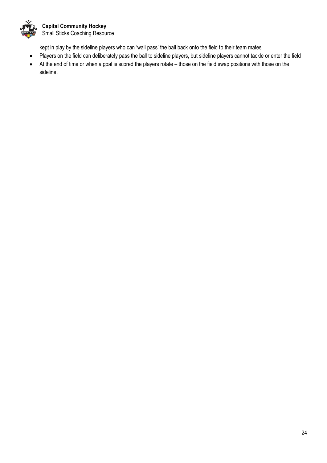

kept in play by the sideline players who can 'wall pass' the ball back onto the field to their team mates

- Players on the field can deliberately pass the ball to sideline players, but sideline players cannot tackle or enter the field
- At the end of time or when a goal is scored the players rotate those on the field swap positions with those on the sideline.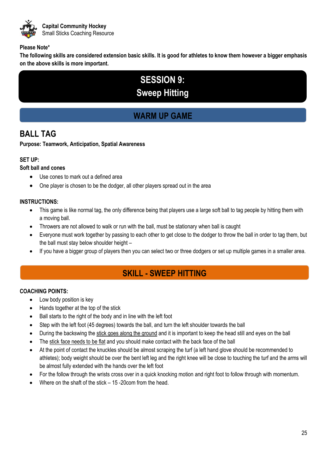

#### **Please Note\***

**The following skills are considered extension basic skills. It is good for athletes to know them however a bigger emphasis on the above skills is more important.** 

## **SESSION 9: Sweep Hitting**

## **WARM UP GAME**

## **BALL TAG**

**Purpose: Teamwork, Anticipation, Spatial Awareness**

#### **SET UP:**

### **Soft ball and cones**

- Use cones to mark out a defined area
- One player is chosen to be the dodger, all other players spread out in the area

#### **INSTRUCTIONS:**

- This game is like normal tag, the only difference being that players use a large soft ball to tag people by hitting them with a moving ball.
- Throwers are not allowed to walk or run with the ball, must be stationary when ball is caught
- Everyone must work together by passing to each other to get close to the dodger to throw the ball in order to tag them, but the ball must stay below shoulder height –
- If you have a bigger group of players then you can select two or three dodgers or set up multiple games in a smaller area.

## **SKILL - SWEEP HITTING**

#### **COACHING POINTS:**

- Low body position is key
- Hands together at the top of the stick
- Ball starts to the right of the body and in line with the left foot
- Step with the left foot (45 degrees) towards the ball, and turn the left shoulder towards the ball
- During the backswing the stick goes along the ground and it is important to keep the head still and eyes on the ball
- The stick face needs to be flat and you should make contact with the back face of the ball
- At the point of contact the knuckles should be almost scraping the turf (a left hand glove should be recommended to athletes); body weight should be over the bent left leg and the right knee will be close to touching the turf and the arms will be almost fully extended with the hands over the left foot
- For the follow through the wrists cross over in a quick knocking motion and right foot to follow through with momentum.
- Where on the shaft of the stick 15 -20com from the head.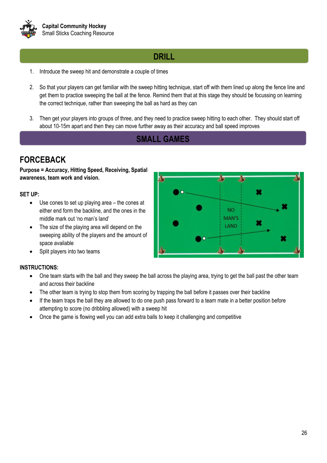

## **DRILL**

- 1. Introduce the sweep hit and demonstrate a couple of times
- 2. So that your players can get familiar with the sweep hitting technique, start off with them lined up along the fence line and get them to practice sweeping the ball at the fence. Remind them that at this stage they should be focussing on learning the correct technique, rather than sweeping the ball as hard as they can
- 3. Then get your players into groups of three, and they need to practice sweep hitting to each other. They should start off about 10-15m apart and then they can move further away as their accuracy and ball speed improves

## **SMALL GAMES**

## **FORCEBACK**

**Purpose = Accuracy, Hitting Speed, Receiving, Spatial awareness, team work and vision.** 

#### **SET UP:**

- Use cones to set up playing area the cones at either end form the backline, and the ones in the middle mark out 'no man's land'
- The size of the playing area will depend on the sweeping ability of the players and the amount of space available
- Split players into two teams

- One team starts with the ball and they sweep the ball across the playing area, trying to get the ball past the other team and across their backline
- The other team is trying to stop them from scoring by trapping the ball before it passes over their backline
- If the team traps the ball they are allowed to do one push pass forward to a team mate in a better position before attempting to score (no dribbling allowed) with a sweep hit
- Once the game is flowing well you can add extra balls to keep it challenging and competitive

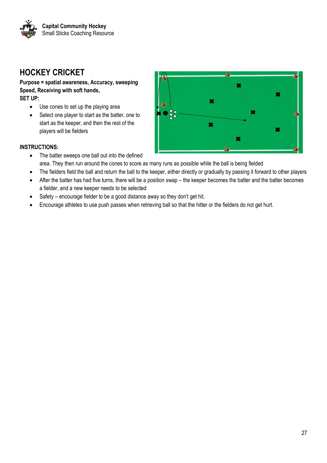

## **HOCKEY CRICKET**

**Purpose = spatial awareness, Accuracy, sweeping Speed, Receiving with soft hands, SET UP:**

- Use cones to set up the playing area
- Select one player to start as the batter, one to start as the keeper, and then the rest of the players will be fielders



- The batter sweeps one ball out into the defined area. They then run around the cones to score as many runs as possible while the ball is being fielded
- The fielders field the ball and return the ball to the keeper, either directly or gradually by passing it forward to other players
- After the batter has had five turns, there will be a position swap the keeper becomes the batter and the batter becomes a fielder, and a new keeper needs to be selected
- Safety encourage fielder to be a good distance away so they don't get hit.
- Encourage athletes to use push passes when retrieving ball so that the hitter or the fielders do not get hurt.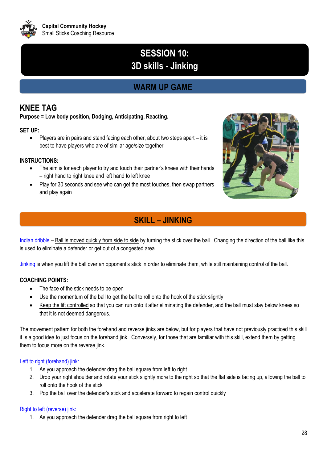

## **SESSION 10: 3D skills - Jinking**

## **WARM UP GAME**

## **KNEE TAG**

**Purpose = Low body position, Dodging, Anticipating, Reacting.** 

## **SET UP:**

• Players are in pairs and stand facing each other, about two steps apart – it is best to have players who are of similar age/size together

### **INSTRUCTIONS:**

- The aim is for each player to try and touch their partner's knees with their hands – right hand to right knee and left hand to left knee
- Play for 30 seconds and see who can get the most touches, then swap partners and play again



## **SKILL – JINKING**

Indian dribble – Ball is moved quickly from side to side by turning the stick over the ball. Changing the direction of the ball like this is used to eliminate a defender or get out of a congested area.

Jinking is when you lift the ball over an opponent's stick in order to eliminate them, while still maintaining control of the ball.

## **COACHING POINTS:**

- The face of the stick needs to be open
- Use the momentum of the ball to get the ball to roll onto the hook of the stick slightly
- Keep the lift controlled so that you can run onto it after eliminating the defender, and the ball must stay below knees so that it is not deemed dangerous.

The movement pattern for both the forehand and reverse jinks are below, but for players that have not previously practiced this skill it is a good idea to just focus on the forehand jink. Conversely, for those that are familiar with this skill, extend them by getting them to focus more on the reverse jink.

#### Left to right (forehand) jink:

- 1. As you approach the defender drag the ball square from left to right
- 2. Drop your right shoulder and rotate your stick slightly more to the right so that the flat side is facing up, allowing the ball to roll onto the hook of the stick
- 3. Pop the ball over the defender's stick and accelerate forward to regain control quickly

#### Right to left (reverse) jink:

1. As you approach the defender drag the ball square from right to left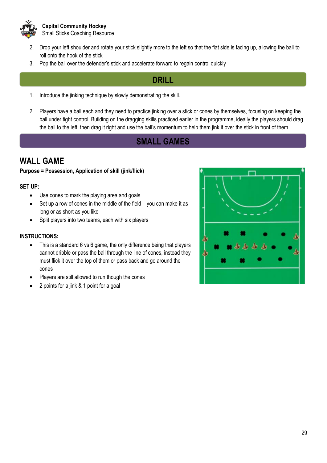

- 2. Drop your left shoulder and rotate your stick slightly more to the left so that the flat side is facing up, allowing the ball to roll onto the hook of the stick
- 3. Pop the ball over the defender's stick and accelerate forward to regain control quickly

## **DRILL**

- 1. Introduce the jinking technique by slowly demonstrating the skill.
- 2. Players have a ball each and they need to practice jinking over a stick or cones by themselves, focusing on keeping the ball under tight control. Building on the dragging skills practiced earlier in the programme, ideally the players should drag the ball to the left, then drag it right and use the ball's momentum to help them jink it over the stick in front of them.

## **SMALL GAMES**

## **WALL GAME**

### **Purpose = Possession, Application of skill (jink/flick)**

### **SET UP:**

- Use cones to mark the playing area and goals
- Set up a row of cones in the middle of the field you can make it as long or as short as you like
- Split players into two teams, each with six players

- This is a standard 6 vs 6 game, the only difference being that players cannot dribble or pass the ball through the line of cones, instead they must flick it over the top of them or pass back and go around the cones
- Players are still allowed to run though the cones
- 2 points for a jink & 1 point for a goal

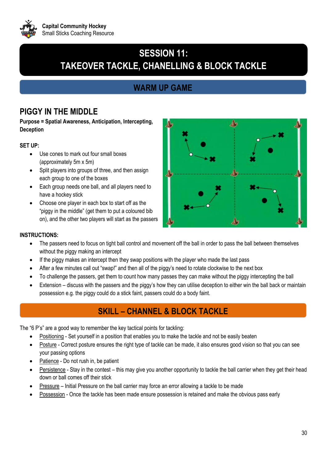

## **SESSION 11: TAKEOVER TACKLE, CHANELLING & BLOCK TACKLE**

## **WARM UP GAME**

## **PIGGY IN THE MIDDLE**

**Purpose = Spatial Awareness, Anticipation, Intercepting, Deception**

### **SET UP:**

- Use cones to mark out four small boxes (approximately 5m x 5m)
- Split players into groups of three, and then assign each group to one of the boxes
- Each group needs one ball, and all players need to have a hockey stick
- Choose one player in each box to start off as the "piggy in the middle" (get them to put a coloured bib on), and the other two players will start as the passers



#### **INSTRUCTIONS:**

- The passers need to focus on tight ball control and movement off the ball in order to pass the ball between themselves without the piggy making an intercept
- If the piggy makes an intercept then they swap positions with the player who made the last pass
- After a few minutes call out "swap!" and then all of the piggy's need to rotate clockwise to the next box
- To challenge the passers, get them to count how many passes they can make without the piggy intercepting the ball
- Extension discuss with the passers and the piggy's how they can utilise deception to either win the ball back or maintain possession e.g. the piggy could do a stick faint, passers could do a body faint.

## **SKILL – CHANNEL & BLOCK TACKLE**

The "6 P's" are a good way to remember the key tactical points for tackling:

- Positioning Set yourself in a position that enables you to make the tackle and not be easily beaten
- Posture Correct posture ensures the right type of tackle can be made, it also ensures good vision so that you can see your passing options
- Patience Do not rush in, be patient
- Persistence Stay in the contest this may give you another opportunity to tackle the ball carrier when they get their head down or ball comes off their stick
- Pressure Initial Pressure on the ball carrier may force an error allowing a tackle to be made
- Possession Once the tackle has been made ensure possession is retained and make the obvious pass early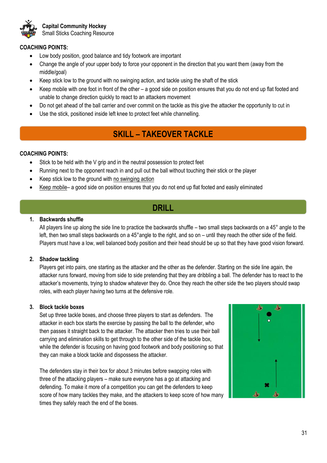

#### **COACHING POINTS:**

- Low body position, good balance and tidy footwork are important
- Change the angle of your upper body to force your opponent in the direction that you want them (away from the middle/goal)
- Keep stick low to the ground with no swinging action, and tackle using the shaft of the stick
- Keep mobile with one foot in front of the other a good side on position ensures that you do not end up flat footed and unable to change direction quickly to react to an attackers movement
- Do not get ahead of the ball carrier and over commit on the tackle as this give the attacker the opportunity to cut in
- Use the stick, positioned inside left knee to protect feet while channelling.

## **SKILL – TAKEOVER TACKLE**

#### **COACHING POINTS:**

- Stick to be held with the V grip and in the neutral possession to protect feet
- Running next to the opponent reach in and pull out the ball without touching their stick or the player
- Keep stick low to the ground with no swinging action
- Keep mobile– a good side on position ensures that you do not end up flat footed and easily eliminated

## **DRILL**

#### **1. Backwards shuffle**

All players line up along the side line to practice the backwards shuffle – two small steps backwards on a 45° angle to the left, then two small steps backwards on a 45°angle to the right, and so on – until they reach the other side of the field. Players must have a low, well balanced body position and their head should be up so that they have good vision forward.

#### **2. Shadow tackling**

Players get into pairs, one starting as the attacker and the other as the defender. Starting on the side line again, the attacker runs forward, moving from side to side pretending that they are dribbling a ball. The defender has to react to the attacker's movements, trying to shadow whatever they do. Once they reach the other side the two players should swap roles, with each player having two turns at the defensive role.

#### **3. Block tackle boxes**

Set up three tackle boxes, and choose three players to start as defenders. The attacker in each box starts the exercise by passing the ball to the defender, who then passes it straight back to the attacker. The attacker then tries to use their ball carrying and elimination skills to get through to the other side of the tackle box, while the defender is focusing on having good footwork and body positioning so that they can make a block tackle and dispossess the attacker.

The defenders stay in their box for about 3 minutes before swapping roles with three of the attacking players – make sure everyone has a go at attacking and defending. To make it more of a competition you can get the defenders to keep score of how many tackles they make, and the attackers to keep score of how many times they safely reach the end of the boxes.